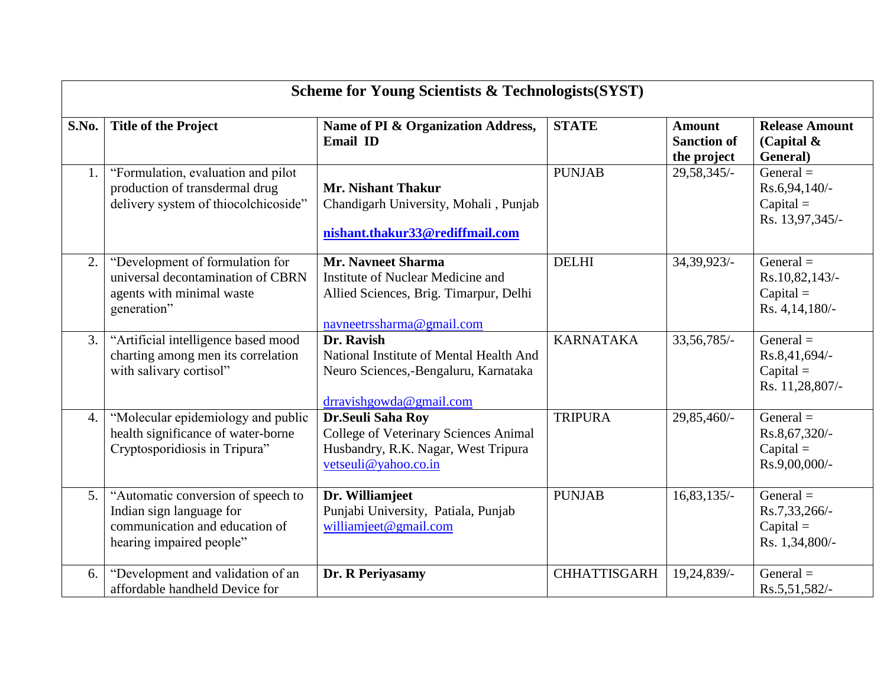|       | <b>Scheme for Young Scientists &amp; Technologists (SYST)</b>                                                                |                                                                                                                                       |                     |                                                    |                                                                  |  |  |  |
|-------|------------------------------------------------------------------------------------------------------------------------------|---------------------------------------------------------------------------------------------------------------------------------------|---------------------|----------------------------------------------------|------------------------------------------------------------------|--|--|--|
| S.No. | <b>Title of the Project</b>                                                                                                  | Name of PI & Organization Address,<br>Email ID                                                                                        | <b>STATE</b>        | <b>Amount</b><br><b>Sanction of</b><br>the project | <b>Release Amount</b><br>(Capital $\&$<br>General)               |  |  |  |
| 1.    | "Formulation, evaluation and pilot<br>production of transdermal drug<br>delivery system of thiocolchicoside"                 | <b>Mr. Nishant Thakur</b><br>Chandigarh University, Mohali, Punjab<br>nishant.thakur33@rediffmail.com                                 | <b>PUNJAB</b>       | 29,58,345/-                                        | General $=$<br>Rs.6,94,140/-<br>$Capital =$<br>Rs. 13,97,345/-   |  |  |  |
| 2.    | "Development of formulation for<br>universal decontamination of CBRN<br>agents with minimal waste<br>generation"             | <b>Mr. Navneet Sharma</b><br>Institute of Nuclear Medicine and<br>Allied Sciences, Brig. Timarpur, Delhi<br>navneetrssharma@gmail.com | <b>DELHI</b>        | 34,39,923/                                         | General $=$<br>Rs.10,82,143/-<br>$Capital =$<br>Rs. 4, 14, 180/- |  |  |  |
| 3.    | "Artificial intelligence based mood<br>charting among men its correlation<br>with salivary cortisol"                         | Dr. Ravish<br>National Institute of Mental Health And<br>Neuro Sciences,-Bengaluru, Karnataka<br>drravishgowda@gmail.com              | <b>KARNATAKA</b>    | 33, 56, 785/-                                      | General $=$<br>Rs.8,41,694/-<br>$Capital =$<br>Rs. 11,28,807/-   |  |  |  |
| 4.    | "Molecular epidemiology and public<br>health significance of water-borne<br>Cryptosporidiosis in Tripura"                    | Dr.Seuli Saha Roy<br><b>College of Veterinary Sciences Animal</b><br>Husbandry, R.K. Nagar, West Tripura<br>vetseuli@yahoo.co.in      | <b>TRIPURA</b>      | 29,85,460/-                                        | General $=$<br>Rs.8,67,320/-<br>$Capital =$<br>Rs.9,00,000/-     |  |  |  |
| 5.    | "Automatic conversion of speech to<br>Indian sign language for<br>communication and education of<br>hearing impaired people" | Dr. Williamjeet<br>Punjabi University, Patiala, Punjab<br>williamjeet@gmail.com                                                       | <b>PUNJAB</b>       | $16,83,135/-$                                      | General $=$<br>Rs.7,33,266/-<br>$Capital =$<br>Rs. 1,34,800/-    |  |  |  |
| 6.    | "Development and validation of an<br>affordable handheld Device for                                                          | Dr. R Periyasamy                                                                                                                      | <b>CHHATTISGARH</b> | 19,24,839/-                                        | General $=$<br>Rs.5,51,582/-                                     |  |  |  |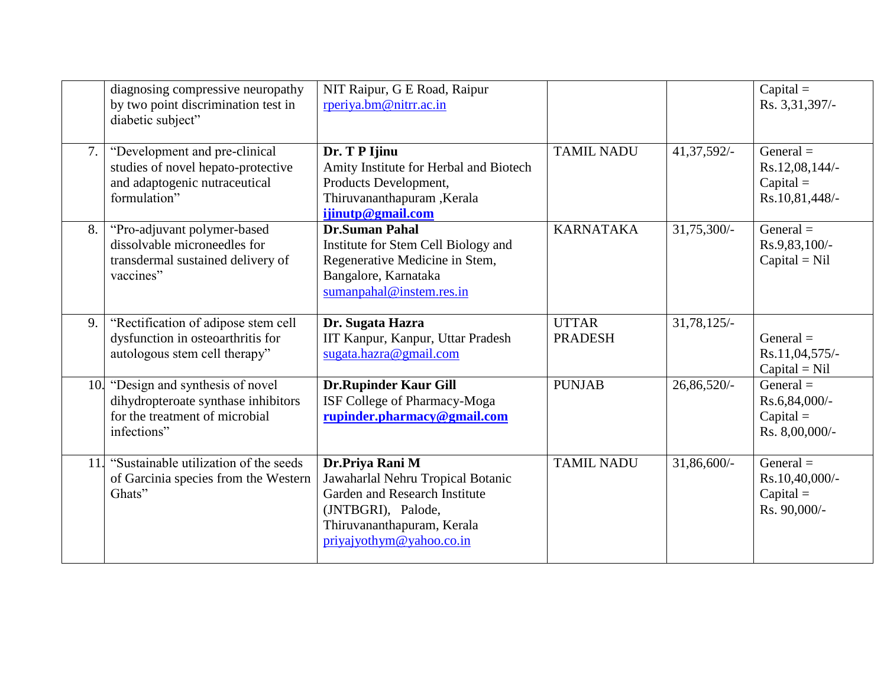|     | diagnosing compressive neuropathy<br>by two point discrimination test in<br>diabetic subject"                          | NIT Raipur, G E Road, Raipur<br>rperiya.bm@nitrr.ac.in                                                                                                                    |                                |               | $Capital =$<br>Rs. 3,31,397/-                                  |
|-----|------------------------------------------------------------------------------------------------------------------------|---------------------------------------------------------------------------------------------------------------------------------------------------------------------------|--------------------------------|---------------|----------------------------------------------------------------|
| 7.  | "Development and pre-clinical<br>studies of novel hepato-protective<br>and adaptogenic nutraceutical<br>formulation"   | Dr. T P Ijinu<br>Amity Institute for Herbal and Biotech<br>Products Development,<br>Thiruvananthapuram, Kerala<br>ijinutp@gmail.com                                       | <b>TAMIL NADU</b>              | 41, 37, 592/- | General $=$<br>Rs.12,08,144/-<br>$Capital =$<br>Rs.10,81,448/- |
| 8.  | "Pro-adjuvant polymer-based<br>dissolvable microneedles for<br>transdermal sustained delivery of<br>vaccines"          | <b>Dr.Suman Pahal</b><br>Institute for Stem Cell Biology and<br>Regenerative Medicine in Stem,<br>Bangalore, Karnataka<br>sumanpahal@instem.res.in                        | <b>KARNATAKA</b>               | 31,75,300/-   | General $=$<br>Rs.9,83,100/-<br>$Capital = Nil$                |
| 9.  | "Rectification of adipose stem cell<br>dysfunction in osteoarthritis for<br>autologous stem cell therapy"              | Dr. Sugata Hazra<br>IIT Kanpur, Kanpur, Uttar Pradesh<br>sugata.hazra@gmail.com                                                                                           | <b>UTTAR</b><br><b>PRADESH</b> | $31,78,125/-$ | General $=$<br>Rs.11,04,575/-<br>$Capital = Nil$               |
| 10. | "Design and synthesis of novel<br>dihydropteroate synthase inhibitors<br>for the treatment of microbial<br>infections" | <b>Dr.Rupinder Kaur Gill</b><br>ISF College of Pharmacy-Moga<br>rupinder.pharmacy@gmail.com                                                                               | <b>PUNJAB</b>                  | 26,86,520/    | General $=$<br>Rs.6,84,000/-<br>$Capital =$<br>Rs. 8,00,000/-  |
| 11. | "Sustainable utilization of the seeds"<br>of Garcinia species from the Western<br>Ghats"                               | Dr.Priya Rani M<br>Jawaharlal Nehru Tropical Botanic<br>Garden and Research Institute<br>(JNTBGRI), Palode,<br>Thiruvananthapuram, Kerala<br>$\pi$ iyajyothym@yahoo.co.in | <b>TAMIL NADU</b>              | 31,86,600/-   | General $=$<br>Rs.10,40,000/-<br>$Capital =$<br>Rs. 90,000/-   |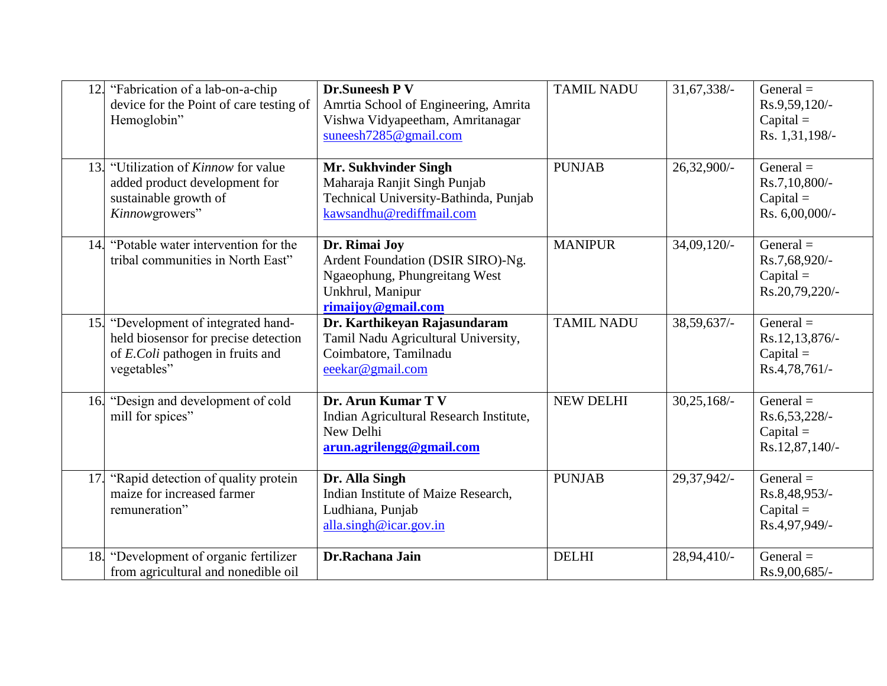|     | 12. "Fabrication of a lab-on-a-chip<br>device for the Point of care testing of<br>Hemoglobin"                               | <b>Dr.Suneesh PV</b><br>Amrtia School of Engineering, Amrita<br>Vishwa Vidyapeetham, Amritanagar<br>suneesh $7285@$ gmail.com | <b>TAMIL NADU</b> | 31, 67, 338/- | General $=$<br>Rs.9,59,120/-<br>$Capital =$<br>Rs. 1,31,198/- |
|-----|-----------------------------------------------------------------------------------------------------------------------------|-------------------------------------------------------------------------------------------------------------------------------|-------------------|---------------|---------------------------------------------------------------|
|     | 13. "Utilization of <i>Kinnow</i> for value<br>added product development for<br>sustainable growth of<br>Kinnowgrowers"     | Mr. Sukhvinder Singh<br>Maharaja Ranjit Singh Punjab<br>Technical University-Bathinda, Punjab<br>kawsandhu@rediffmail.com     | <b>PUNJAB</b>     | 26,32,900/-   | General $=$<br>Rs.7,10,800/-<br>$Capital =$<br>Rs. 6,00,000/- |
|     | 14. "Potable water intervention for the<br>tribal communities in North East"                                                | Dr. Rimai Joy<br>Ardent Foundation (DSIR SIRO)-Ng.<br>Ngaeophung, Phungreitang West<br>Unkhrul, Manipur<br>rimaijoy@gmail.com | <b>MANIPUR</b>    | $34,09,120/-$ | General $=$<br>Rs.7,68,920/-<br>$Capital =$<br>Rs.20,79,220/- |
| 15. | "Development of integrated hand-<br>held biosensor for precise detection<br>of E.Coli pathogen in fruits and<br>vegetables" | Dr. Karthikeyan Rajasundaram<br>Tamil Nadu Agricultural University,<br>Coimbatore, Tamilnadu<br>eeekar@gmail.com              | <b>TAMIL NADU</b> | $38,59,637/-$ | General $=$<br>Rs.12,13,876/-<br>$Capital =$<br>Rs.4,78,761/- |
|     | 16. "Design and development of cold<br>mill for spices"                                                                     | Dr. Arun Kumar T V<br>Indian Agricultural Research Institute,<br>New Delhi<br>arun.agrilengg@gmail.com                        | <b>NEW DELHI</b>  | $30,25,168/-$ | General $=$<br>Rs.6,53,228/-<br>$Capital =$<br>Rs.12,87,140/- |
|     | 17. "Rapid detection of quality protein<br>maize for increased farmer<br>remuneration"                                      | Dr. Alla Singh<br>Indian Institute of Maize Research,<br>Ludhiana, Punjab<br>alla.singh@icar.gov.in                           | <b>PUNJAB</b>     | 29,37,942/-   | General $=$<br>Rs.8,48,953/-<br>$Capital =$<br>Rs.4,97,949/-  |
| 18. | "Development of organic fertilizer<br>from agricultural and nonedible oil                                                   | Dr.Rachana Jain                                                                                                               | <b>DELHI</b>      | 28,94,410/-   | General $=$<br>Rs.9,00,685/-                                  |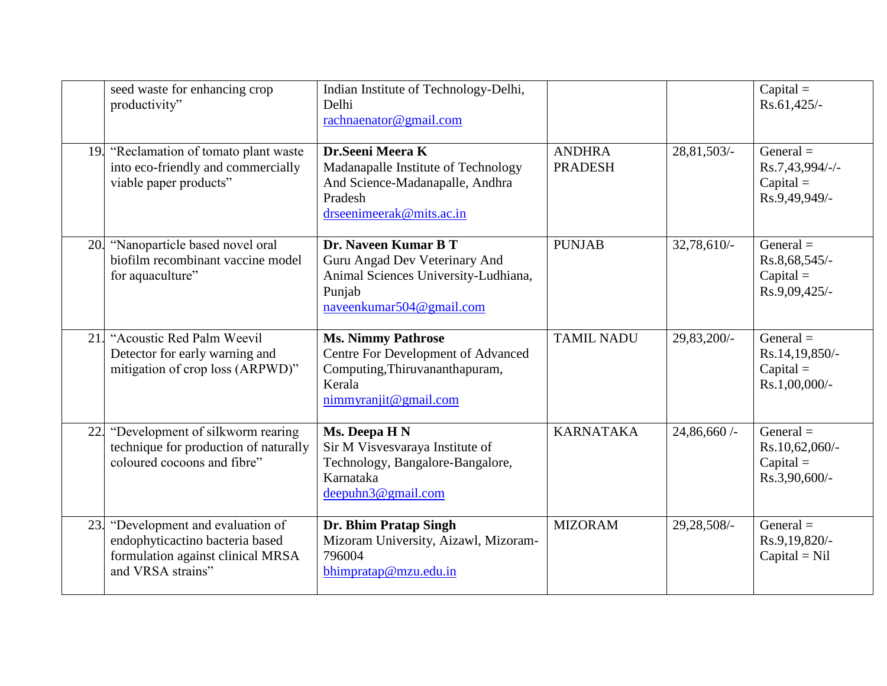| seed waste for enhancing crop<br>productivity"                                                                                     | Indian Institute of Technology-Delhi,<br>Delhi<br>rachnaenator@gmail.com                                                             |                                 |             | $Capital =$<br>Rs.61,425/-                                     |
|------------------------------------------------------------------------------------------------------------------------------------|--------------------------------------------------------------------------------------------------------------------------------------|---------------------------------|-------------|----------------------------------------------------------------|
| 19. "Reclamation of tomato plant waste<br>into eco-friendly and commercially<br>viable paper products"                             | Dr.Seeni Meera K<br>Madanapalle Institute of Technology<br>And Science-Madanapalle, Andhra<br>Pradesh<br>drseenimeerak@mits.ac.in    | <b>ANDHRA</b><br><b>PRADESH</b> | 28,81,503/- | General $=$<br>Rs.7,43,994/-/-<br>$Capital =$<br>Rs.9,49,949/- |
| "Nanoparticle based novel oral<br>20.<br>biofilm recombinant vaccine model<br>for aquaculture"                                     | Dr. Naveen Kumar B T<br>Guru Angad Dev Veterinary And<br>Animal Sciences University-Ludhiana,<br>Punjab<br>naveenkumar504@gmail.com  | <b>PUNJAB</b>                   | 32,78,610/- | General $=$<br>Rs.8,68,545/-<br>$Capital =$<br>Rs.9,09,425/-   |
| "Acoustic Red Palm Weevil<br>21.<br>Detector for early warning and<br>mitigation of crop loss (ARPWD)"                             | <b>Ms. Nimmy Pathrose</b><br>Centre For Development of Advanced<br>Computing, Thiruvananthapuram,<br>Kerala<br>nimmyranjit@gmail.com | <b>TAMIL NADU</b>               | 29,83,200/- | General $=$<br>Rs.14,19,850/-<br>$Capital =$<br>Rs.1,00,000/-  |
| "Development of silkworm rearing<br>22.<br>technique for production of naturally<br>coloured cocoons and fibre"                    | Ms. Deepa H N<br>Sir M Visvesvaraya Institute of<br>Technology, Bangalore-Bangalore,<br>Karnataka<br>deepuhn3@gmail.com              | <b>KARNATAKA</b>                | 24,86,660/- | General $=$<br>Rs.10,62,060/-<br>$Capital =$<br>Rs.3,90,600/-  |
| 23.<br>"Development and evaluation of<br>endophyticactino bacteria based<br>formulation against clinical MRSA<br>and VRSA strains" | Dr. Bhim Pratap Singh<br>Mizoram University, Aizawl, Mizoram-<br>796004<br>bhimpratap@mzu.edu.in                                     | <b>MIZORAM</b>                  | 29,28,508/- | General $=$<br>Rs.9,19,820/-<br>$Capital = Nil$                |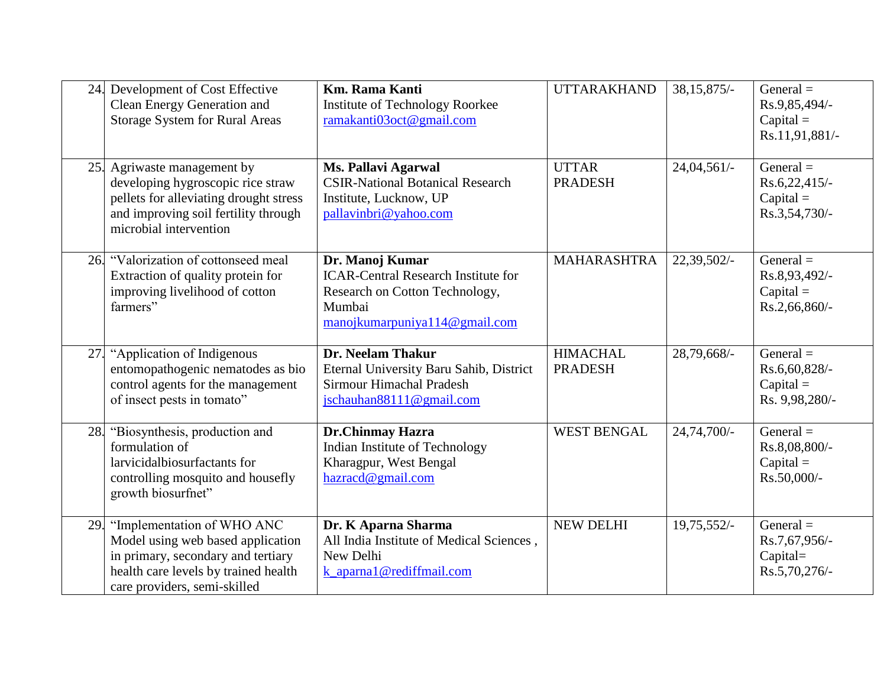| 24. | Development of Cost Effective<br>Clean Energy Generation and<br><b>Storage System for Rural Areas</b>                                                                         | <b>Km. Rama Kanti</b><br><b>Institute of Technology Roorkee</b><br>ramakanti03oct@gmail.com                                                | <b>UTTARAKHAND</b>                | 38, 15, 875/- | General $=$<br>Rs.9,85,494/-<br>$Capital =$<br>Rs.11,91,881/- |
|-----|-------------------------------------------------------------------------------------------------------------------------------------------------------------------------------|--------------------------------------------------------------------------------------------------------------------------------------------|-----------------------------------|---------------|---------------------------------------------------------------|
| 25. | Agriwaste management by<br>developing hygroscopic rice straw<br>pellets for alleviating drought stress<br>and improving soil fertility through<br>microbial intervention      | <b>Ms. Pallavi Agarwal</b><br><b>CSIR-National Botanical Research</b><br>Institute, Lucknow, UP<br>pallavinbri@yahoo.com                   | <b>UTTAR</b><br><b>PRADESH</b>    | $24,04,561/-$ | General $=$<br>Rs.6,22,415/<br>$Capital =$<br>Rs.3,54,730/-   |
| 26. | "Valorization of cottonseed meal<br>Extraction of quality protein for<br>improving livelihood of cotton<br>farmers"                                                           | Dr. Manoj Kumar<br><b>ICAR-Central Research Institute for</b><br>Research on Cotton Technology,<br>Mumbai<br>manojkumarpuniya114@gmail.com | <b>MAHARASHTRA</b>                | 22,39,502/-   | General $=$<br>Rs.8,93,492/-<br>$Capital =$<br>Rs.2,66,860/-  |
| 27. | "Application of Indigenous<br>entomopathogenic nematodes as bio<br>control agents for the management<br>of insect pests in tomato"                                            | Dr. Neelam Thakur<br>Eternal University Baru Sahib, District<br>Sirmour Himachal Pradesh<br>jschauhan88111@gmail.com                       | <b>HIMACHAL</b><br><b>PRADESH</b> | 28,79,668/-   | General $=$<br>Rs.6,60,828/-<br>$Capital =$<br>Rs. 9,98,280/- |
| 28. | "Biosynthesis, production and<br>formulation of<br>larvicidalbiosurfactants for<br>controlling mosquito and housefly<br>growth biosurfnet"                                    | Dr.Chinmay Hazra<br>Indian Institute of Technology<br>Kharagpur, West Bengal<br>hazracd@gmail.com                                          | <b>WEST BENGAL</b>                | 24,74,700/-   | General $=$<br>Rs.8,08,800/-<br>$Capital =$<br>Rs.50,000/-    |
| 29. | "Implementation of WHO ANC<br>Model using web based application<br>in primary, secondary and tertiary<br>health care levels by trained health<br>care providers, semi-skilled | Dr. K Aparna Sharma<br>All India Institute of Medical Sciences,<br>New Delhi<br>k_aparna1@rediffmail.com                                   | <b>NEW DELHI</b>                  | 19,75,552/-   | General $=$<br>Rs.7,67,956/-<br>Capital=<br>Rs.5,70,276/-     |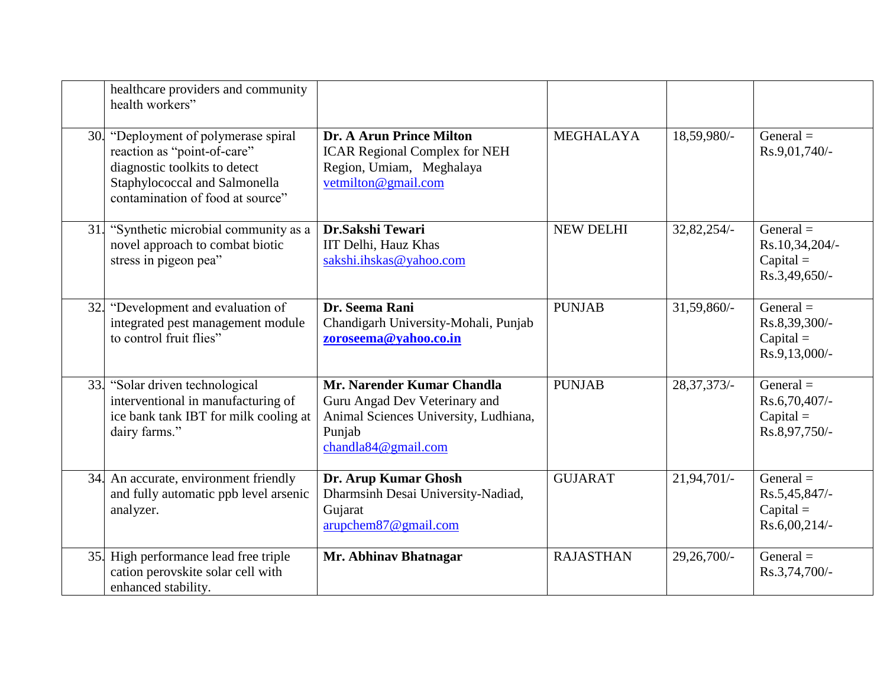|            | healthcare providers and community<br>health workers"                                                                                                                 |                                                                                                                                       |                  |                |                                                                 |
|------------|-----------------------------------------------------------------------------------------------------------------------------------------------------------------------|---------------------------------------------------------------------------------------------------------------------------------------|------------------|----------------|-----------------------------------------------------------------|
| 30.        | "Deployment of polymerase spiral<br>reaction as "point-of-care"<br>diagnostic toolkits to detect<br>Staphylococcal and Salmonella<br>contamination of food at source" | Dr. A Arun Prince Milton<br><b>ICAR Regional Complex for NEH</b><br>Region, Umiam, Meghalaya<br>vetmilton@gmail.com                   | <b>MEGHALAYA</b> | 18,59,980/-    | General $=$<br>Rs.9,01,740/-                                    |
| 31.        | "Synthetic microbial community as a<br>novel approach to combat biotic<br>stress in pigeon pea"                                                                       | Dr.Sakshi Tewari<br>IIT Delhi, Hauz Khas<br>sakshi.ihskas@yahoo.com                                                                   | NEW DELHI        | 32,82,254/-    | General $=$<br>Rs.10,34,204/-<br>$Capital =$<br>Rs.3,49,650/-   |
| 32.        | "Development and evaluation of<br>integrated pest management module<br>to control fruit flies"                                                                        | Dr. Seema Rani<br>Chandigarh University-Mohali, Punjab<br>zoroseema@yahoo.co.in                                                       | <b>PUNJAB</b>    | 31,59,860/-    | General $=$<br>Rs.8,39,300/-<br>$Capital =$<br>Rs.9,13,000/-    |
| 33.        | "Solar driven technological<br>interventional in manufacturing of<br>ice bank tank IBT for milk cooling at<br>dairy farms."                                           | Mr. Narender Kumar Chandla<br>Guru Angad Dev Veterinary and<br>Animal Sciences University, Ludhiana,<br>Punjab<br>chandla84@gmail.com | <b>PUNJAB</b>    | $28,37,373/$ - | General $=$<br>Rs.6,70,407/-<br>$Capital =$<br>Rs.8,97,750/-    |
|            | 34. An accurate, environment friendly<br>and fully automatic ppb level arsenic<br>analyzer.                                                                           | Dr. Arup Kumar Ghosh<br>Dharmsinh Desai University-Nadiad,<br>Gujarat<br>arupchem87@gmail.com                                         | <b>GUJARAT</b>   | 21,94,701/-    | General $=$<br>Rs.5,45,847/-<br>$Capital =$<br>$Rs.6,00,214/$ - |
| <b>35.</b> | High performance lead free triple<br>cation perovskite solar cell with<br>enhanced stability.                                                                         | Mr. Abhinav Bhatnagar                                                                                                                 | <b>RAJASTHAN</b> | 29,26,700/-    | General $=$<br>Rs.3,74,700/-                                    |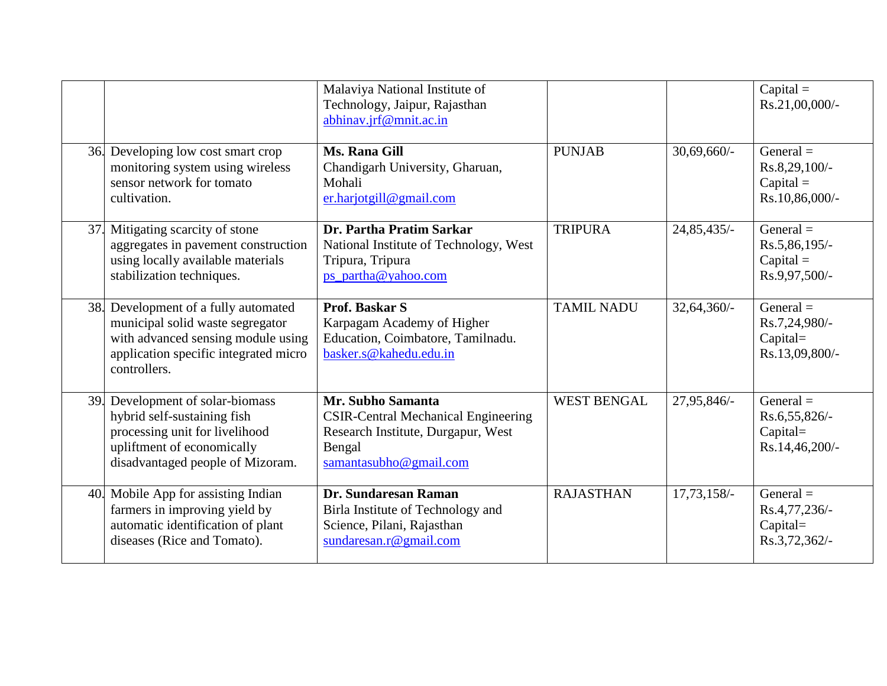|     |                                                                                                                                                                     | Malaviya National Institute of<br>Technology, Jaipur, Rajasthan<br>abhinav.jrf@mnit.ac.in                                                 |                    |               | $Capital =$<br>Rs.21,00,000/-                                 |
|-----|---------------------------------------------------------------------------------------------------------------------------------------------------------------------|-------------------------------------------------------------------------------------------------------------------------------------------|--------------------|---------------|---------------------------------------------------------------|
|     | 36. Developing low cost smart crop<br>monitoring system using wireless<br>sensor network for tomato<br>cultivation.                                                 | Ms. Rana Gill<br>Chandigarh University, Gharuan,<br>Mohali<br>er.harjotgill@gmail.com                                                     | <b>PUNJAB</b>      | $30,69,660/-$ | General $=$<br>Rs.8,29,100/-<br>$Capital =$<br>Rs.10,86,000/- |
| 37. | Mitigating scarcity of stone<br>aggregates in pavement construction<br>using locally available materials<br>stabilization techniques.                               | Dr. Partha Pratim Sarkar<br>National Institute of Technology, West<br>Tripura, Tripura<br>ps_partha@yahoo.com                             | <b>TRIPURA</b>     | 24,85,435/-   | General $=$<br>Rs.5,86,195/-<br>$Capital =$<br>Rs.9,97,500/-  |
| 38. | Development of a fully automated<br>municipal solid waste segregator<br>with advanced sensing module using<br>application specific integrated micro<br>controllers. | <b>Prof. Baskar S</b><br>Karpagam Academy of Higher<br>Education, Coimbatore, Tamilnadu.<br>basker.s@kahedu.edu.in                        | <b>TAMIL NADU</b>  | 32,64,360/-   | General $=$<br>Rs.7,24,980/-<br>Capital=<br>Rs.13,09,800/-    |
| 39. | Development of solar-biomass<br>hybrid self-sustaining fish<br>processing unit for livelihood<br>upliftment of economically<br>disadvantaged people of Mizoram.     | Mr. Subho Samanta<br><b>CSIR-Central Mechanical Engineering</b><br>Research Institute, Durgapur, West<br>Bengal<br>samantasubho@gmail.com | <b>WEST BENGAL</b> | 27,95,846/-   | General $=$<br>Rs.6,55,826/-<br>$Capital=$<br>Rs.14,46,200/-  |
| 40. | Mobile App for assisting Indian<br>farmers in improving yield by<br>automatic identification of plant<br>diseases (Rice and Tomato).                                | Dr. Sundaresan Raman<br>Birla Institute of Technology and<br>Science, Pilani, Rajasthan<br>sundaresan.r@gmail.com                         | <b>RAJASTHAN</b>   | $17,73,158/-$ | General $=$<br>Rs.4,77,236/-<br>Capital=<br>Rs.3,72,362/-     |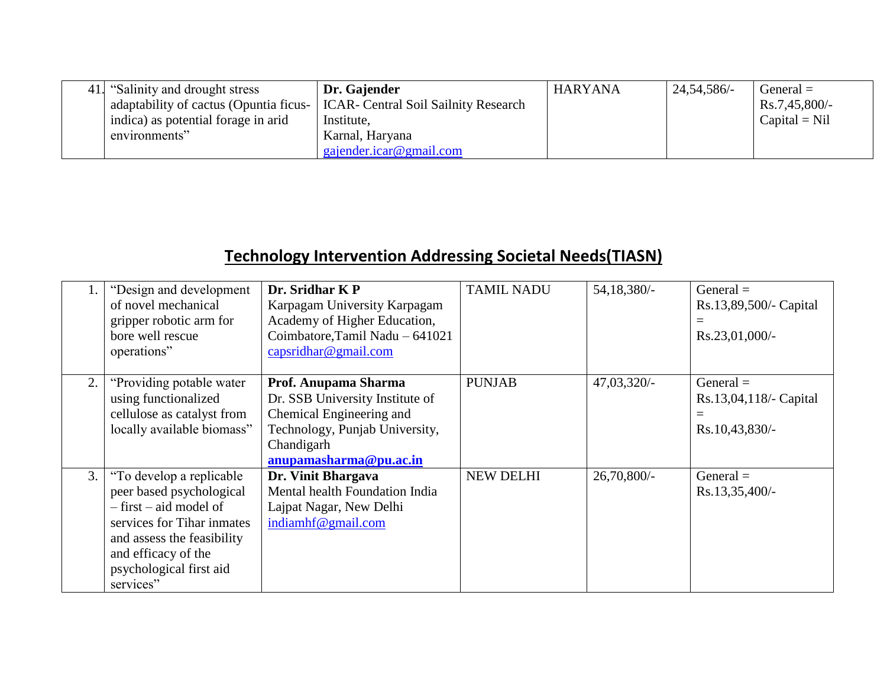| 41. "Salinity and drought stress"      | Dr. Gajender                                | <b>HARYANA</b> | 24, 54, 586/- | $General =$     |
|----------------------------------------|---------------------------------------------|----------------|---------------|-----------------|
| adaptability of cactus (Opuntia ficus- | <b>ICAR- Central Soil Sailnity Research</b> |                |               | $Rs.7,45,800/-$ |
| indica) as potential forage in arid    | Institute,                                  |                |               | $Capital = Nil$ |
| environments"                          | Karnal, Haryana                             |                |               |                 |
|                                        | gajender.icar@gmail.com                     |                |               |                 |

## **Technology Intervention Addressing Societal Needs(TIASN)**

|    | "Design and development"<br>of novel mechanical<br>gripper robotic arm for<br>bore well rescue<br>operations"                                                                                                  | Dr. Sridhar KP<br>Karpagam University Karpagam<br>Academy of Higher Education,<br>Coimbatore, Tamil Nadu - 641021<br>capsridhar@gmail.com                     | <b>TAMIL NADU</b> | 54, 18, 380/-  | $General =$<br>Rs.13,89,500/- Capital<br>$=$<br>$Rs.23,01,000/$ - |
|----|----------------------------------------------------------------------------------------------------------------------------------------------------------------------------------------------------------------|---------------------------------------------------------------------------------------------------------------------------------------------------------------|-------------------|----------------|-------------------------------------------------------------------|
| 2. | "Providing potable water"<br>using functionalized<br>cellulose as catalyst from<br>locally available biomass"                                                                                                  | Prof. Anupama Sharma<br>Dr. SSB University Institute of<br>Chemical Engineering and<br>Technology, Punjab University,<br>Chandigarh<br>anupamasharma@pu.ac.in | <b>PUNJAB</b>     | $47,03,320/-$  | General $=$<br>Rs.13,04,118/- Capital<br>$=$<br>$Rs.10,43,830/-$  |
| 3. | "To develop a replicable"<br>peer based psychological<br>$-$ first $-$ aid model of<br>services for Tihar inmates<br>and assess the feasibility<br>and efficacy of the<br>psychological first aid<br>services" | Dr. Vinit Bhargava<br>Mental health Foundation India<br>Lajpat Nagar, New Delhi<br>indiamhf@gmail.com                                                         | <b>NEW DELHI</b>  | $26,70,800/$ - | $General =$<br>$Rs.13,35,400/-$                                   |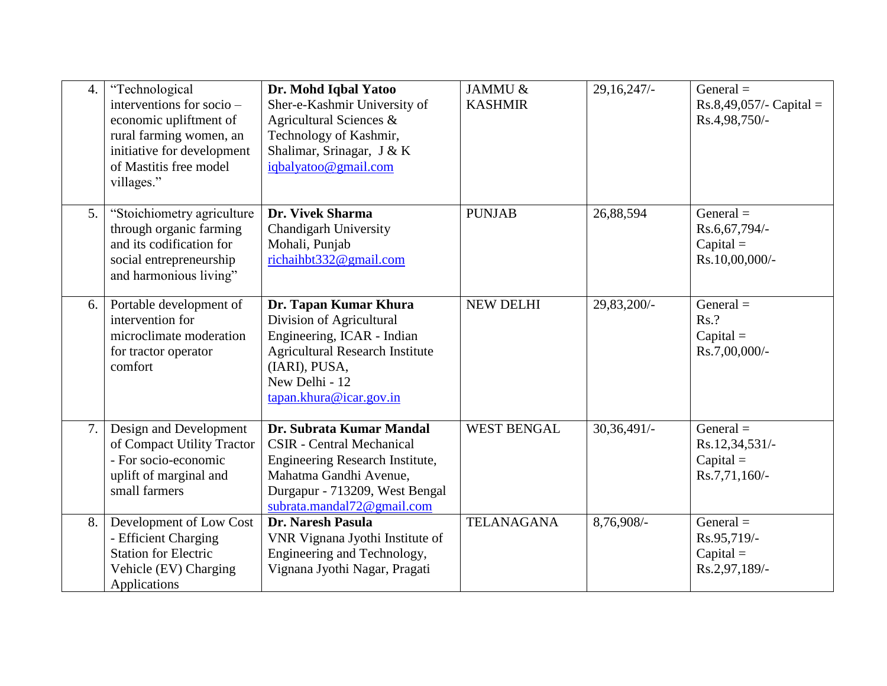| $\overline{4}$ . | "Technological<br>interventions for socio -<br>economic upliftment of<br>rural farming women, an<br>initiative for development<br>of Mastitis free model<br>villages." | Dr. Mohd Iqbal Yatoo<br>Sher-e-Kashmir University of<br>Agricultural Sciences &<br>Technology of Kashmir,<br>Shalimar, Srinagar, J & K<br>iqbalyatoo@gmail.com                            | JAMMU &<br><b>KASHMIR</b> | 29,16,247/    | General $=$<br>$Rs.8,49,057/-$ Capital =<br>Rs.4,98,750/-     |
|------------------|------------------------------------------------------------------------------------------------------------------------------------------------------------------------|-------------------------------------------------------------------------------------------------------------------------------------------------------------------------------------------|---------------------------|---------------|---------------------------------------------------------------|
| 5.               | "Stoichiometry agriculture<br>through organic farming<br>and its codification for<br>social entrepreneurship<br>and harmonious living"                                 | Dr. Vivek Sharma<br><b>Chandigarh University</b><br>Mohali, Punjab<br>richaihbt332@gmail.com                                                                                              | <b>PUNJAB</b>             | 26,88,594     | General $=$<br>Rs.6,67,794/-<br>$Capital =$<br>Rs.10,00,000/- |
| 6.               | Portable development of<br>intervention for<br>microclimate moderation<br>for tractor operator<br>comfort                                                              | Dr. Tapan Kumar Khura<br>Division of Agricultural<br>Engineering, ICAR - Indian<br><b>Agricultural Research Institute</b><br>(IARI), PUSA,<br>New Delhi - 12<br>tapan.khura@icar.gov.in   | <b>NEW DELHI</b>          | 29,83,200/-   | General $=$<br>Rs.?<br>$Capital =$<br>Rs.7,00,000/-           |
| 7.               | Design and Development<br>of Compact Utility Tractor<br>- For socio-economic<br>uplift of marginal and<br>small farmers                                                | Dr. Subrata Kumar Mandal<br><b>CSIR</b> - Central Mechanical<br>Engineering Research Institute,<br>Mahatma Gandhi Avenue,<br>Durgapur - 713209, West Bengal<br>subrata.mandal72@gmail.com | <b>WEST BENGAL</b>        | $30,36,491/-$ | General $=$<br>Rs.12,34,531/-<br>$Capital =$<br>Rs.7,71,160/- |
| 8.               | Development of Low Cost<br>- Efficient Charging<br><b>Station for Electric</b><br>Vehicle (EV) Charging<br>Applications                                                | Dr. Naresh Pasula<br>VNR Vignana Jyothi Institute of<br>Engineering and Technology,<br>Vignana Jyothi Nagar, Pragati                                                                      | <b>TELANAGANA</b>         | 8,76,908/-    | General $=$<br>Rs.95,719/-<br>$Capital =$<br>Rs.2,97,189/-    |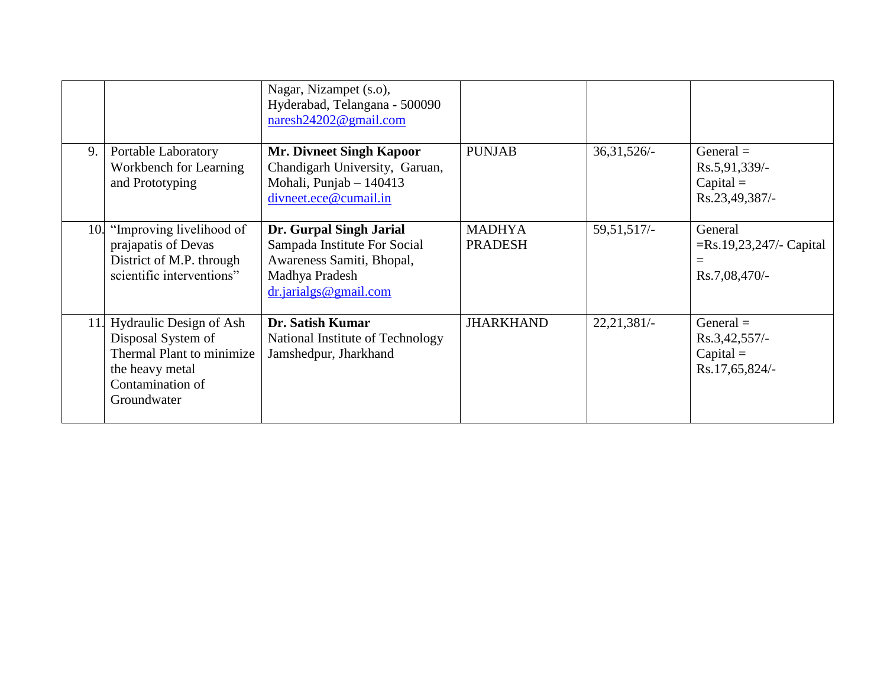|     |                                                                                                                                      | Nagar, Nizampet (s.o),<br>Hyderabad, Telangana - 500090<br>naresh24202@gmail.com                                                     |                                 |               |                                                                   |
|-----|--------------------------------------------------------------------------------------------------------------------------------------|--------------------------------------------------------------------------------------------------------------------------------------|---------------------------------|---------------|-------------------------------------------------------------------|
| 9.  | Portable Laboratory<br>Workbench for Learning<br>and Prototyping                                                                     | <b>Mr. Divneet Singh Kapoor</b><br>Chandigarh University, Garuan,<br>Mohali, Punjab - 140413<br>divneet.ece@cumail.in                | <b>PUNJAB</b>                   | $36,31,526/-$ | General $=$<br>Rs.5,91,339/-<br>$Capital =$<br>Rs.23,49,387/-     |
| 10. | "Improving livelihood of<br>prajapatis of Devas<br>District of M.P. through<br>scientific interventions"                             | Dr. Gurpal Singh Jarial<br>Sampada Institute For Social<br>Awareness Samiti, Bhopal,<br>Madhya Pradesh<br>$dr$ . jarialgs @gmail.com | <b>MADHYA</b><br><b>PRADESH</b> | 59,51,517/    | General<br>$=Rs.19,23,247/-$ Capital<br>$\equiv$<br>Rs.7,08,470/- |
|     | 11. Hydraulic Design of Ash<br>Disposal System of<br>Thermal Plant to minimize<br>the heavy metal<br>Contamination of<br>Groundwater | Dr. Satish Kumar<br>National Institute of Technology<br>Jamshedpur, Jharkhand                                                        | <b>JHARKHAND</b>                | 22,21,381/    | General $=$<br>$Rs.3,42,557/-$<br>$Capital =$<br>Rs.17,65,824/-   |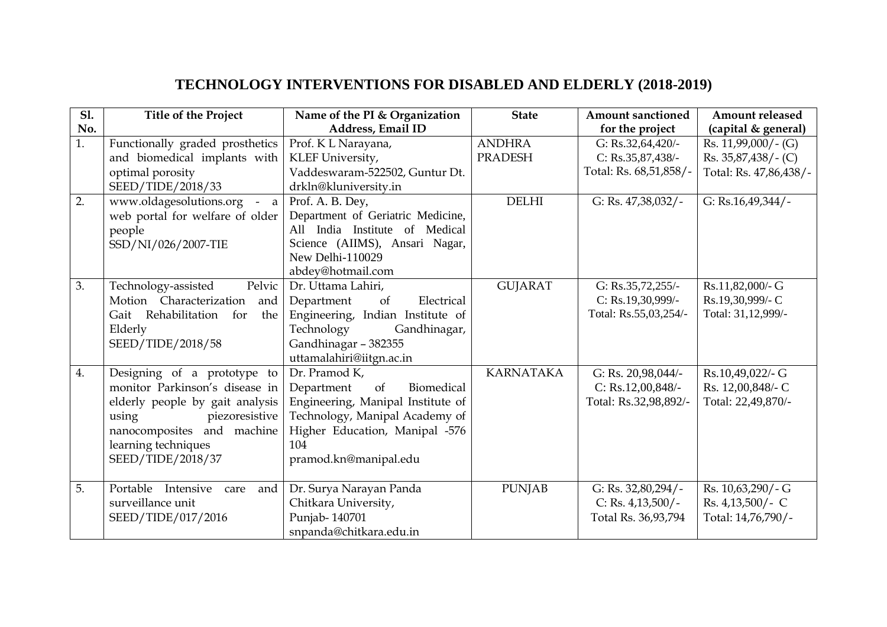## **TECHNOLOGY INTERVENTIONS FOR DISABLED AND ELDERLY (2018-2019)**

| <b>S1.</b> | <b>Title of the Project</b>       | Name of the PI & Organization     | <b>State</b>     | <b>Amount sanctioned</b> | <b>Amount released</b> |
|------------|-----------------------------------|-----------------------------------|------------------|--------------------------|------------------------|
| No.        |                                   | Address, Email ID                 |                  | for the project          | (capital & general)    |
| 1.         | Functionally graded prosthetics   | Prof. K L Narayana,               | <b>ANDHRA</b>    | G: Rs.32,64,420/-        | Rs. $11,99,000/$ - (G) |
|            | and biomedical implants with      | KLEF University,                  | <b>PRADESH</b>   | $C: Rs.35,87,438/$ -     | $Rs. 35,87,438/-(C)$   |
|            | optimal porosity                  | Vaddeswaram-522502, Guntur Dt.    |                  | Total: Rs. 68,51,858/-   | Total: Rs. 47,86,438/- |
|            | SEED/TIDE/2018/33                 | drkln@kluniversity.in             |                  |                          |                        |
| 2.         | www.oldagesolutions.org - a       | Prof. A. B. Dey,                  | <b>DELHI</b>     | G: Rs. 47,38,032/-       | G: Rs.16,49,344/-      |
|            | web portal for welfare of older   | Department of Geriatric Medicine, |                  |                          |                        |
|            | people                            | All India Institute of Medical    |                  |                          |                        |
|            | SSD/NI/026/2007-TIE               | Science (AIIMS), Ansari Nagar,    |                  |                          |                        |
|            |                                   | New Delhi-110029                  |                  |                          |                        |
|            |                                   | abdey@hotmail.com                 |                  |                          |                        |
| 3.         | Pelvic<br>Technology-assisted     | Dr. Uttama Lahiri,                | <b>GUJARAT</b>   | G: Rs.35,72,255/-        | Rs.11,82,000/- G       |
|            | Motion Characterization<br>and    | Electrical<br>Department<br>of    |                  | C: Rs.19,30,999/-        | Rs.19,30,999/- C       |
|            | Gait Rehabilitation for<br>the    | Engineering, Indian Institute of  |                  | Total: Rs.55,03,254/-    | Total: 31,12,999/-     |
|            | Elderly                           | Technology<br>Gandhinagar,        |                  |                          |                        |
|            | SEED/TIDE/2018/58                 | Gandhinagar - 382355              |                  |                          |                        |
|            |                                   | uttamalahiri@iitgn.ac.in          |                  |                          |                        |
| 4.         | Designing of a prototype to       | Dr. Pramod K,                     | <b>KARNATAKA</b> | G: Rs. 20,98,044/-       | Rs.10,49,022/- G       |
|            | monitor Parkinson's disease in    | Department<br>of<br>Biomedical    |                  | C: Rs.12,00,848/-        | Rs. 12,00,848/- C      |
|            | elderly people by gait analysis   | Engineering, Manipal Institute of |                  | Total: Rs.32,98,892/-    | Total: 22,49,870/-     |
|            | piezoresistive<br>using           | Technology, Manipal Academy of    |                  |                          |                        |
|            | nanocomposites and machine        | Higher Education, Manipal -576    |                  |                          |                        |
|            | learning techniques               | 104                               |                  |                          |                        |
|            | SEED/TIDE/2018/37                 | pramod.kn@manipal.edu             |                  |                          |                        |
|            |                                   |                                   |                  |                          |                        |
| 5.         | Portable Intensive<br>and<br>care | Dr. Surya Narayan Panda           | <b>PUNJAB</b>    | G: Rs. 32,80,294/-       | Rs. 10,63,290/-G       |
|            | surveillance unit                 | Chitkara University,              |                  | C: Rs. $4,13,500/$ -     | $Rs. 4,13,500/$ - C    |
|            | SEED/TIDE/017/2016                | Punjab-140701                     |                  | Total Rs. 36,93,794      | Total: 14,76,790/-     |
|            |                                   | snpanda@chitkara.edu.in           |                  |                          |                        |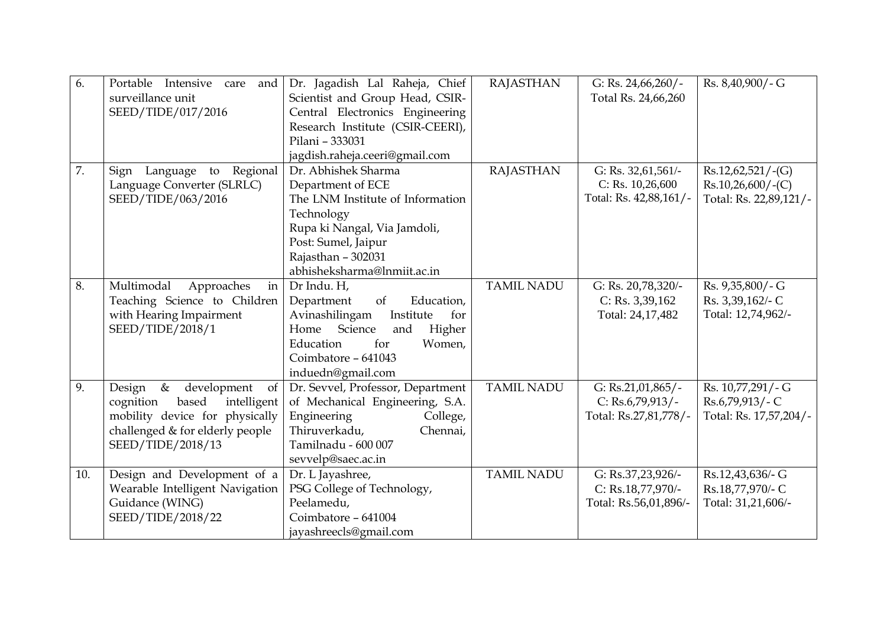| 6.  | Portable Intensive<br>care and<br>surveillance unit<br>SEED/TIDE/017/2016                                                                                          | Dr. Jagadish Lal Raheja, Chief<br>Scientist and Group Head, CSIR-<br>Central Electronics Engineering<br>Research Institute (CSIR-CEERI),<br>Pilani - 333031<br>jagdish.raheja.ceeri@gmail.com          | <b>RAJASTHAN</b>  | G: Rs. $24,66,260/$ -<br>Total Rs. 24,66,260                        | Rs. 8,40,900/-G                                                      |
|-----|--------------------------------------------------------------------------------------------------------------------------------------------------------------------|--------------------------------------------------------------------------------------------------------------------------------------------------------------------------------------------------------|-------------------|---------------------------------------------------------------------|----------------------------------------------------------------------|
| 7.  | Language to Regional<br>Sign<br>Language Converter (SLRLC)<br>SEED/TIDE/063/2016                                                                                   | Dr. Abhishek Sharma<br>Department of ECE<br>The LNM Institute of Information<br>Technology<br>Rupa ki Nangal, Via Jamdoli,<br>Post: Sumel, Jaipur<br>Rajasthan - 302031<br>abhisheksharma@lnmiit.ac.in | <b>RAJASTHAN</b>  | G: Rs. 32,61,561/-<br>$C:$ Rs. 10,26,600<br>Total: Rs. 42,88,161/-  | $Rs.12,62,521/-(G)$<br>$Rs.10,26,600/-(C)$<br>Total: Rs. 22,89,121/- |
| 8.  | Multimodal<br>Approaches<br>in<br>Teaching Science to Children<br>with Hearing Impairment<br>SEED/TIDE/2018/1                                                      | Dr Indu. H,<br>Department<br>Education,<br>of<br>Avinashilingam<br>for<br>Institute<br>Home Science<br>Higher<br>and<br>Education<br>for<br>Women,<br>Coimbatore - 641043<br>induedn@gmail.com         | <b>TAMIL NADU</b> | G: Rs. 20,78,320/-<br>$C:$ Rs. 3,39,162<br>Total: 24,17,482         | Rs. 9,35,800/-G<br>Rs. 3,39,162/- C<br>Total: 12,74,962/-            |
| 9.  | $\&$<br>Design<br>development<br>of<br>cognition<br>based<br>intelligent<br>mobility device for physically<br>challenged & for elderly people<br>SEED/TIDE/2018/13 | Dr. Sevvel, Professor, Department<br>of Mechanical Engineering, S.A.<br>Engineering<br>College,<br>Thiruverkadu,<br>Chennai,<br>Tamilnadu - 600 007<br>sevvelp@saec.ac.in                              | <b>TAMIL NADU</b> | G: $Rs.21,01,865/-$<br>C: $Rs.6,79,913/$ -<br>Total: Rs.27,81,778/- | Rs. 10,77,291/-G<br>Rs.6,79,913/-C<br>Total: Rs. 17,57,204/-         |
| 10. | Design and Development of a<br>Wearable Intelligent Navigation<br>Guidance (WING)<br>SEED/TIDE/2018/22                                                             | Dr. L Jayashree,<br>PSG College of Technology,<br>Peelamedu,<br>Coimbatore - 641004<br>jayashreecls@gmail.com                                                                                          | <b>TAMIL NADU</b> | G: Rs.37,23,926/-<br>C: Rs.18,77,970/-<br>Total: Rs.56,01,896/-     | Rs.12,43,636/- G<br>Rs.18,77,970/- C<br>Total: 31,21,606/-           |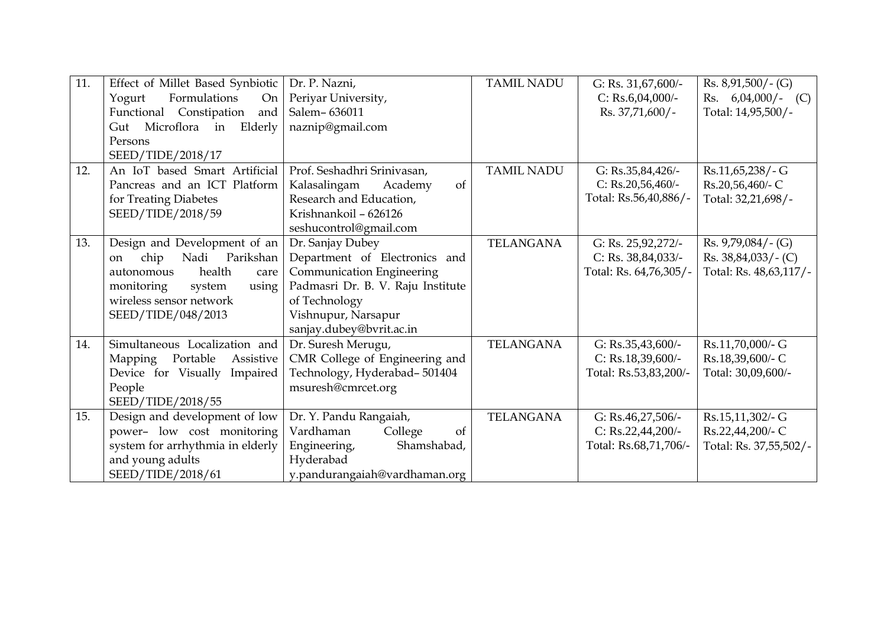| 11. | Effect of Millet Based Synbiotic    | Dr. P. Nazni,                         | <b>TAMIL NADU</b> | G: Rs. $31,67,600/-$   | $Rs. 8,91,500/ - (G)$  |
|-----|-------------------------------------|---------------------------------------|-------------------|------------------------|------------------------|
|     | Formulations<br>Yogurt<br><b>On</b> | Periyar University,                   |                   | C: Rs.6,04,000/-       | Rs. $6,04,000/$ - (C)  |
|     | Functional Constipation<br>and      | Salem-636011                          |                   | $Rs. 37,71,600/$ -     | Total: 14,95,500/-     |
|     | Gut Microflora in Elderly           | naznip@gmail.com                      |                   |                        |                        |
|     | Persons                             |                                       |                   |                        |                        |
|     | SEED/TIDE/2018/17                   |                                       |                   |                        |                        |
| 12. | An IoT based Smart Artificial       | Prof. Seshadhri Srinivasan,           | <b>TAMIL NADU</b> | G: Rs.35,84,426/-      | Rs.11,65,238/-G        |
|     | Pancreas and an ICT Platform        | of<br>Kalasalingam<br>Academy         |                   | C: $Rs.20,56,460/-$    | Rs.20,56,460/- C       |
|     | for Treating Diabetes               | Research and Education,               |                   | Total: Rs.56,40,886/-  | Total: 32,21,698/-     |
|     | SEED/TIDE/2018/59                   | Krishnankoil - 626126                 |                   |                        |                        |
|     |                                     | seshucontrol@gmail.com                |                   |                        |                        |
| 13. | Design and Development of an        | Dr. Sanjay Dubey                      | <b>TELANGANA</b>  |                        | $Rs. 9,79,084/-(G)$    |
|     |                                     |                                       |                   | G: Rs. 25,92,272/-     |                        |
|     | chip<br>Nadi Parikshan<br>on        | Department of Electronics and         |                   | C: Rs. $38,84,033/$ -  | $Rs. 38,84,033/-(C)$   |
|     | health<br>autonomous<br>care        | <b>Communication Engineering</b>      |                   | Total: Rs. 64,76,305/- | Total: Rs. 48,63,117/- |
|     | monitoring<br>system<br>using       | Padmasri Dr. B. V. Raju Institute     |                   |                        |                        |
|     | wireless sensor network             | of Technology                         |                   |                        |                        |
|     | SEED/TIDE/048/2013                  | Vishnupur, Narsapur                   |                   |                        |                        |
|     |                                     | sanjay.dubey@bvrit.ac.in              |                   |                        |                        |
| 14. | Simultaneous Localization and       | Dr. Suresh Merugu,                    | <b>TELANGANA</b>  | G: Rs.35,43,600/-      | Rs.11,70,000/- G       |
|     | Portable<br>Mapping<br>Assistive    | CMR College of Engineering and        |                   | C: Rs.18,39,600/-      | Rs.18,39,600/- C       |
|     | Device for Visually Impaired        | Technology, Hyderabad-501404          |                   | Total: Rs.53,83,200/-  | Total: 30,09,600/-     |
|     | People                              | msuresh@cmrcet.org                    |                   |                        |                        |
|     | SEED/TIDE/2018/55                   |                                       |                   |                        |                        |
| 15. | Design and development of low       | Dr. Y. Pandu Rangaiah,                | <b>TELANGANA</b>  | G: Rs.46,27,506/-      | Rs.15,11,302/- G       |
|     | power- low cost monitoring          | Vardhaman<br>College<br><sub>of</sub> |                   | C: $Rs.22,44,200/-$    | Rs.22,44,200/- C       |
|     | system for arrhythmia in elderly    | Shamshabad,<br>Engineering,           |                   | Total: Rs.68,71,706/-  | Total: Rs. 37,55,502/- |
|     | and young adults                    | Hyderabad                             |                   |                        |                        |
|     | SEED/TIDE/2018/61                   | y.pandurangaiah@vardhaman.org         |                   |                        |                        |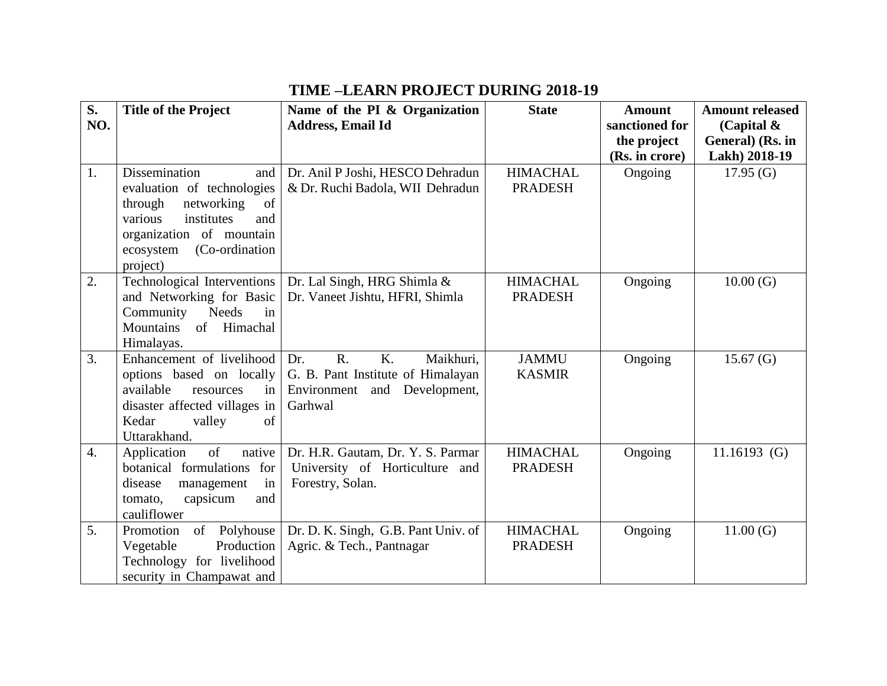## **TIME –LEARN PROJECT DURING 2018-19**

| S <sub>1</sub>   | <b>Title of the Project</b>                         | Name of the PI & Organization         | <b>State</b>    | <b>Amount</b>  | <b>Amount released</b> |
|------------------|-----------------------------------------------------|---------------------------------------|-----------------|----------------|------------------------|
| NO.              |                                                     | <b>Address, Email Id</b>              |                 | sanctioned for | (Capital $\&$          |
|                  |                                                     |                                       |                 | the project    | General) (Rs. in       |
|                  |                                                     |                                       |                 | (Rs. in crore) | Lakh) 2018-19          |
| 1.               | <b>Dissemination</b><br>and                         | Dr. Anil P Joshi, HESCO Dehradun      | <b>HIMACHAL</b> | Ongoing        | 17.95(G)               |
|                  | evaluation of technologies                          | & Dr. Ruchi Badola, WII Dehradun      | <b>PRADESH</b>  |                |                        |
|                  | through<br>networking<br>of                         |                                       |                 |                |                        |
|                  | institutes<br>various<br>and                        |                                       |                 |                |                        |
|                  | organization of mountain                            |                                       |                 |                |                        |
|                  | (Co-ordination<br>ecosystem                         |                                       |                 |                |                        |
|                  | project)                                            |                                       |                 |                |                        |
| 2.               | Technological Interventions                         | Dr. Lal Singh, HRG Shimla &           | <b>HIMACHAL</b> | Ongoing        | 10.00(G)               |
|                  | and Networking for Basic                            | Dr. Vaneet Jishtu, HFRI, Shimla       | <b>PRADESH</b>  |                |                        |
|                  | Community<br><b>Needs</b><br>$\overline{\text{in}}$ |                                       |                 |                |                        |
|                  | <b>Mountains</b><br>of Himachal                     |                                       |                 |                |                        |
| 3.               | Himalayas.<br>Enhancement of livelihood             | $R_{\cdot}$<br>K.<br>Maikhuri,<br>Dr. | <b>JAMMU</b>    | Ongoing        | 15.67 $(G)$            |
|                  | options based on locally                            | G. B. Pant Institute of Himalayan     | <b>KASMIR</b>   |                |                        |
|                  | available<br>resources<br>in <sub>1</sub>           | Environment and Development,          |                 |                |                        |
|                  | disaster affected villages in                       | Garhwal                               |                 |                |                        |
|                  | Kedar<br>of<br>valley                               |                                       |                 |                |                        |
|                  | Uttarakhand.                                        |                                       |                 |                |                        |
| $\overline{4}$ . | of<br>Application<br>native                         | Dr. H.R. Gautam, Dr. Y. S. Parmar     | <b>HIMACHAL</b> | Ongoing        | $11.16193$ (G)         |
|                  | botanical formulations for                          | University of Horticulture and        | <b>PRADESH</b>  |                |                        |
|                  | disease<br>in<br>management                         | Forestry, Solan.                      |                 |                |                        |
|                  | tomato,<br>capsicum<br>and                          |                                       |                 |                |                        |
|                  | cauliflower                                         |                                       |                 |                |                        |
| 5 <sub>1</sub>   | Promotion<br>of Polyhouse                           | Dr. D. K. Singh, G.B. Pant Univ. of   | <b>HIMACHAL</b> | Ongoing        | 11.00(G)               |
|                  | Vegetable<br>Production                             | Agric. & Tech., Pantnagar             | <b>PRADESH</b>  |                |                        |
|                  | Technology for livelihood                           |                                       |                 |                |                        |
|                  | security in Champawat and                           |                                       |                 |                |                        |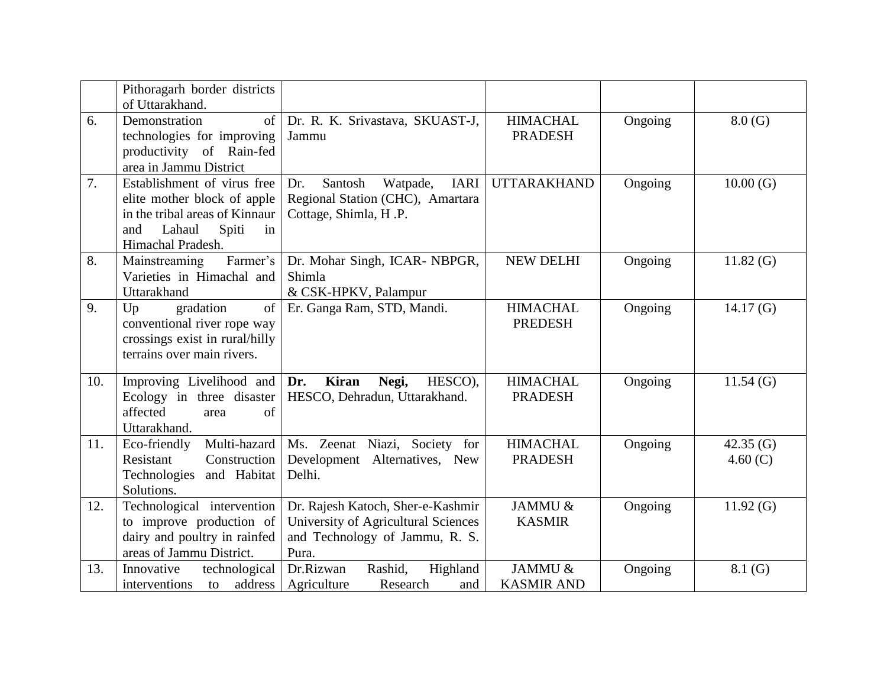|     | Pithoragarh border districts<br>of Uttarakhand.                                                                                                   |                                                                                                                     |                                   |         |                           |
|-----|---------------------------------------------------------------------------------------------------------------------------------------------------|---------------------------------------------------------------------------------------------------------------------|-----------------------------------|---------|---------------------------|
| 6.  | Demonstration<br>of  <br>technologies for improving<br>productivity of Rain-fed<br>area in Jammu District                                         | Dr. R. K. Srivastava, SKUAST-J,<br>Jammu                                                                            | <b>HIMACHAL</b><br><b>PRADESH</b> | Ongoing | 8.0(G)                    |
| 7.  | Establishment of virus free<br>elite mother block of apple<br>in the tribal areas of Kinnaur<br>Lahaul<br>Spiti<br>and<br>in<br>Himachal Pradesh. | Santosh<br>Watpade,<br><b>IARI</b><br>Dr.<br>Regional Station (CHC), Amartara<br>Cottage, Shimla, H.P.              | <b>UTTARAKHAND</b>                | Ongoing | 10.00(G)                  |
| 8.  | Farmer's<br>Mainstreaming<br>Varieties in Himachal and<br>Uttarakhand                                                                             | Dr. Mohar Singh, ICAR- NBPGR,<br>Shimla<br>& CSK-HPKV, Palampur                                                     | <b>NEW DELHI</b>                  | Ongoing | 11.82(G)                  |
| 9.  | gradation<br>of<br>Up<br>conventional river rope way<br>crossings exist in rural/hilly<br>terrains over main rivers.                              | Er. Ganga Ram, STD, Mandi.                                                                                          | <b>HIMACHAL</b><br><b>PREDESH</b> | Ongoing | 14.17 $(G)$               |
| 10. | Improving Livelihood and <b>Dr.</b><br>Ecology in three disaster<br>affected<br>of<br>area<br>Uttarakhand.                                        | <b>Kiran</b><br>Negi,<br>HESCO),<br>HESCO, Dehradun, Uttarakhand.                                                   | <b>HIMACHAL</b><br><b>PRADESH</b> | Ongoing | 11.54(G)                  |
| 11. | Eco-friendly<br>Multi-hazard<br>Construction<br>Resistant<br>Technologies and Habitat<br>Solutions.                                               | Ms. Zeenat Niazi, Society for<br>Development Alternatives, New<br>Delhi.                                            | <b>HIMACHAL</b><br><b>PRADESH</b> | Ongoing | 42.35 $(G)$<br>4.60 $(C)$ |
| 12. | Technological intervention<br>to improve production of<br>dairy and poultry in rainfed<br>areas of Jammu District.                                | Dr. Rajesh Katoch, Sher-e-Kashmir<br>University of Agricultural Sciences<br>and Technology of Jammu, R. S.<br>Pura. | JAMMU &<br><b>KASMIR</b>          | Ongoing | 11.92(G)                  |
| 13. | Innovative<br>technological<br>interventions<br>to address                                                                                        | Dr.Rizwan<br>Rashid,<br>Highland<br>Agriculture<br>Research<br>and                                                  | JAMMU &<br><b>KASMIR AND</b>      | Ongoing | 8.1(G)                    |